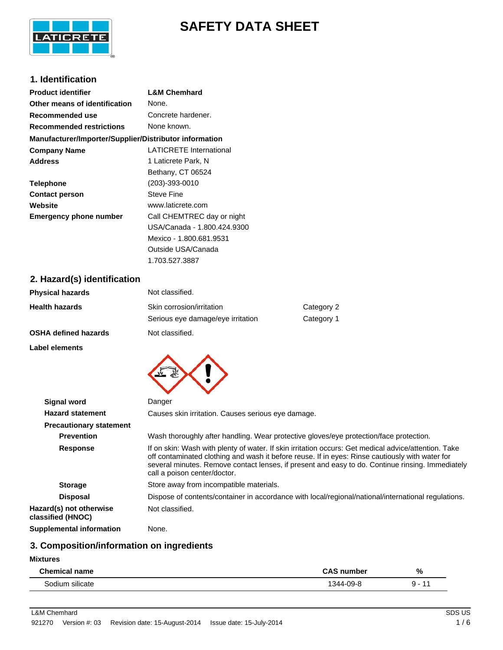

# **SAFETY DATA SHEET**

# **1. Identification**

| <b>Product identifier</b>                              | <b>L&amp;M Chemhard</b>     |
|--------------------------------------------------------|-----------------------------|
| Other means of identification                          | None.                       |
| Recommended use                                        | Concrete hardener.          |
| <b>Recommended restrictions</b>                        | None known.                 |
| Manufacturer/Importer/Supplier/Distributor information |                             |
| <b>Company Name</b>                                    | LATICRETE International     |
| <b>Address</b>                                         | 1 Laticrete Park, N         |
|                                                        | Bethany, CT 06524           |
| <b>Telephone</b>                                       | $(203) - 393 - 0010$        |
| <b>Contact person</b>                                  | Steve Fine                  |
| Website                                                | www.laticrete.com           |
| <b>Emergency phone number</b>                          | Call CHEMTREC day or night  |
|                                                        | USA/Canada - 1.800.424.9300 |
|                                                        | Mexico - 1.800.681.9531     |
|                                                        | Outside USA/Canada          |

# **2. Hazard(s) identification**

| Physical hazards      | Not classified.                   |            |
|-----------------------|-----------------------------------|------------|
| <b>Health hazards</b> | Skin corrosion/irritation         | Category 2 |
|                       | Serious eye damage/eye irritation | Category 1 |
| OSHA defined hazards  | Not classified.                   |            |
| Label elements        |                                   |            |
|                       |                                   |            |

1.703.527.3887

| Signal word                                  | Danger                                                                                                                                                                                                                                                                                                                                      |
|----------------------------------------------|---------------------------------------------------------------------------------------------------------------------------------------------------------------------------------------------------------------------------------------------------------------------------------------------------------------------------------------------|
| <b>Hazard statement</b>                      | Causes skin irritation. Causes serious eve damage.                                                                                                                                                                                                                                                                                          |
| <b>Precautionary statement</b>               |                                                                                                                                                                                                                                                                                                                                             |
| <b>Prevention</b>                            | Wash thoroughly after handling. Wear protective gloves/eye protection/face protection.                                                                                                                                                                                                                                                      |
| <b>Response</b>                              | If on skin: Wash with plenty of water. If skin irritation occurs: Get medical advice/attention. Take<br>off contaminated clothing and wash it before reuse. If in eyes: Rinse cautiously with water for<br>several minutes. Remove contact lenses, if present and easy to do. Continue rinsing. Immediately<br>call a poison center/doctor. |
| <b>Storage</b>                               | Store away from incompatible materials.                                                                                                                                                                                                                                                                                                     |
| <b>Disposal</b>                              | Dispose of contents/container in accordance with local/regional/national/international regulations.                                                                                                                                                                                                                                         |
| Hazard(s) not otherwise<br>classified (HNOC) | Not classified.                                                                                                                                                                                                                                                                                                                             |
| Supplemental information                     | None.                                                                                                                                                                                                                                                                                                                                       |

# **3. Composition/information on ingredients**

### **Mixtures**

| Chamical<br>name       | number | % |
|------------------------|--------|---|
| <br>`odium<br>silicate | י מיצ  |   |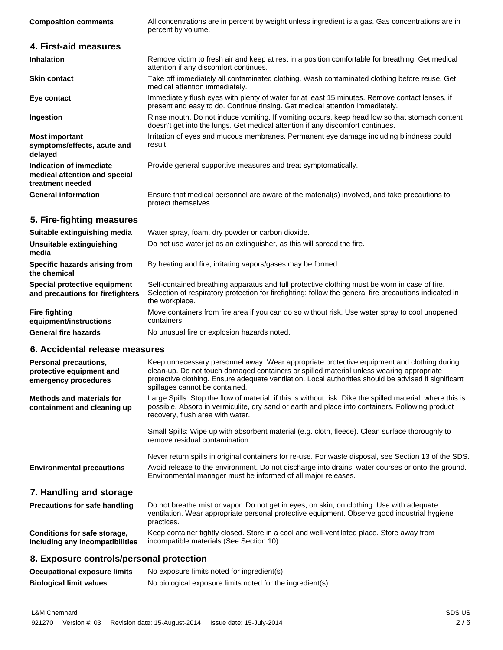| <b>Composition comments</b>                                                      | All concentrations are in percent by weight unless ingredient is a gas. Gas concentrations are in<br>percent by volume.                                                                                                                                                                                                          |
|----------------------------------------------------------------------------------|----------------------------------------------------------------------------------------------------------------------------------------------------------------------------------------------------------------------------------------------------------------------------------------------------------------------------------|
| 4. First-aid measures                                                            |                                                                                                                                                                                                                                                                                                                                  |
| <b>Inhalation</b>                                                                | Remove victim to fresh air and keep at rest in a position comfortable for breathing. Get medical<br>attention if any discomfort continues.                                                                                                                                                                                       |
| <b>Skin contact</b>                                                              | Take off immediately all contaminated clothing. Wash contaminated clothing before reuse. Get<br>medical attention immediately.                                                                                                                                                                                                   |
| Eye contact                                                                      | Immediately flush eyes with plenty of water for at least 15 minutes. Remove contact lenses, if<br>present and easy to do. Continue rinsing. Get medical attention immediately.                                                                                                                                                   |
| Ingestion                                                                        | Rinse mouth. Do not induce vomiting. If vomiting occurs, keep head low so that stomach content<br>doesn't get into the lungs. Get medical attention if any discomfort continues.                                                                                                                                                 |
| <b>Most important</b><br>symptoms/effects, acute and<br>delayed                  | Irritation of eyes and mucous membranes. Permanent eye damage including blindness could<br>result.                                                                                                                                                                                                                               |
| Indication of immediate<br>medical attention and special<br>treatment needed     | Provide general supportive measures and treat symptomatically.                                                                                                                                                                                                                                                                   |
| <b>General information</b>                                                       | Ensure that medical personnel are aware of the material(s) involved, and take precautions to<br>protect themselves.                                                                                                                                                                                                              |
| 5. Fire-fighting measures                                                        |                                                                                                                                                                                                                                                                                                                                  |
| Suitable extinguishing media                                                     | Water spray, foam, dry powder or carbon dioxide.                                                                                                                                                                                                                                                                                 |
| <b>Unsuitable extinguishing</b><br>media                                         | Do not use water jet as an extinguisher, as this will spread the fire.                                                                                                                                                                                                                                                           |
| Specific hazards arising from<br>the chemical                                    | By heating and fire, irritating vapors/gases may be formed.                                                                                                                                                                                                                                                                      |
| Special protective equipment<br>and precautions for firefighters                 | Self-contained breathing apparatus and full protective clothing must be worn in case of fire.<br>Selection of respiratory protection for firefighting: follow the general fire precautions indicated in<br>the workplace.                                                                                                        |
| <b>Fire fighting</b><br>equipment/instructions                                   | Move containers from fire area if you can do so without risk. Use water spray to cool unopened<br>containers.                                                                                                                                                                                                                    |
| <b>General fire hazards</b>                                                      | No unusual fire or explosion hazards noted.                                                                                                                                                                                                                                                                                      |
| 6. Accidental release measures                                                   |                                                                                                                                                                                                                                                                                                                                  |
| <b>Personal precautions,</b><br>protective equipment and<br>emergency procedures | Keep unnecessary personnel away. Wear appropriate protective equipment and clothing during<br>clean-up. Do not touch damaged containers or spilled material unless wearing appropriate<br>protective clothing. Ensure adequate ventilation. Local authorities should be advised if significant<br>spillages cannot be contained. |

Large Spills: Stop the flow of material, if this is without risk. Dike the spilled material, where this is possible. Absorb in vermiculite, dry sand or earth and place into containers. Following product recovery, flush area with water. **Methods and materials for containment and cleaning up**

> Small Spills: Wipe up with absorbent material (e.g. cloth, fleece). Clean surface thoroughly to remove residual contamination.

Never return spills in original containers for re-use. For waste disposal, see Section 13 of the SDS. Avoid release to the environment. Do not discharge into drains, water courses or onto the ground. Environmental manager must be informed of all major releases. **Environmental precautions**

# **7. Handling and storage**

| <b>Precautions for safe handling</b> | Do not breathe mist or vapor. Do not get in eyes, on skin, on clothing. Use with adequate<br>ventilation. Wear appropriate personal protective equipment. Observe good industrial hygiene<br>practices. |
|--------------------------------------|---------------------------------------------------------------------------------------------------------------------------------------------------------------------------------------------------------|
| Conditions for safe storage,         | Keep container tightly closed. Store in a cool and well-ventilated place. Store away from                                                                                                               |
| including any incompatibilities      | incompatible materials (See Section 10).                                                                                                                                                                |

### **8. Exposure controls/personal protection**

| Occupational exposure limits   | No exposure limits noted for ingredient(s).                |
|--------------------------------|------------------------------------------------------------|
| <b>Biological limit values</b> | No biological exposure limits noted for the ingredient(s). |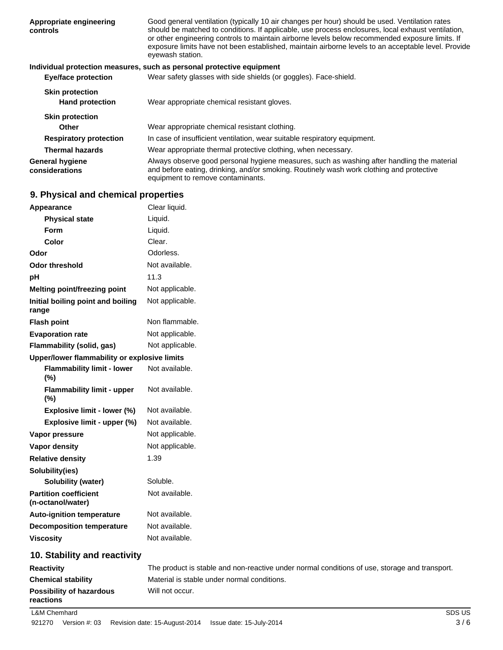| Appropriate engineering<br>controls              | Good general ventilation (typically 10 air changes per hour) should be used. Ventilation rates<br>should be matched to conditions. If applicable, use process enclosures, local exhaust ventilation,<br>or other engineering controls to maintain airborne levels below recommended exposure limits. If<br>exposure limits have not been established, maintain airborne levels to an acceptable level. Provide<br>eyewash station. |
|--------------------------------------------------|------------------------------------------------------------------------------------------------------------------------------------------------------------------------------------------------------------------------------------------------------------------------------------------------------------------------------------------------------------------------------------------------------------------------------------|
|                                                  | Individual protection measures, such as personal protective equipment                                                                                                                                                                                                                                                                                                                                                              |
| <b>Eye/face protection</b>                       | Wear safety glasses with side shields (or goggles). Face-shield.                                                                                                                                                                                                                                                                                                                                                                   |
| <b>Skin protection</b><br><b>Hand protection</b> | Wear appropriate chemical resistant gloves.                                                                                                                                                                                                                                                                                                                                                                                        |
| <b>Skin protection</b>                           |                                                                                                                                                                                                                                                                                                                                                                                                                                    |
| <b>Other</b>                                     | Wear appropriate chemical resistant clothing.                                                                                                                                                                                                                                                                                                                                                                                      |
| <b>Respiratory protection</b>                    | In case of insufficient ventilation, wear suitable respiratory equipment.                                                                                                                                                                                                                                                                                                                                                          |
| <b>Thermal hazards</b>                           | Wear appropriate thermal protective clothing, when necessary.                                                                                                                                                                                                                                                                                                                                                                      |
| <b>General hygiene</b><br>considerations         | Always observe good personal hygiene measures, such as washing after handling the material<br>and before eating, drinking, and/or smoking. Routinely wash work clothing and protective<br>equipment to remove contaminants.                                                                                                                                                                                                        |

# **9. Physical and chemical properties**

| Appearance                                        | Clear liquid.   |
|---------------------------------------------------|-----------------|
| <b>Physical state</b>                             | Liquid.         |
| <b>Form</b>                                       | Liquid.         |
| Color                                             | Clear.          |
| Odor                                              | Odorless.       |
| <b>Odor threshold</b>                             | Not available.  |
| рH                                                | 11.3            |
| Melting point/freezing point                      | Not applicable. |
| Initial boiling point and boiling<br>range        | Not applicable. |
| <b>Flash point</b>                                | Non flammable.  |
| <b>Evaporation rate</b>                           | Not applicable. |
| Flammability (solid, gas)                         | Not applicable. |
| Upper/lower flammability or explosive limits      |                 |
| <b>Flammability limit - lower</b><br>(%)          | Not available.  |
| <b>Flammability limit - upper</b><br>(%)          | Not available.  |
| Explosive limit - lower (%)                       | Not available.  |
| Explosive limit - upper (%)                       | Not available.  |
| Vapor pressure                                    | Not applicable. |
| <b>Vapor density</b>                              | Not applicable. |
| <b>Relative density</b>                           | 1.39            |
| Solubility(ies)                                   |                 |
| <b>Solubility (water)</b>                         | Soluble.        |
| <b>Partition coefficient</b><br>(n-octanol/water) | Not available.  |
| <b>Auto-ignition temperature</b>                  | Not available.  |
| <b>Decomposition temperature</b>                  | Not available.  |
| <b>Viscosity</b>                                  | Not available.  |
| 10. Stability and reactivity                      |                 |

| <b>Reactivity</b>                                        | The product is stable and non-reactive under normal conditions of use, storage and transport. |
|----------------------------------------------------------|-----------------------------------------------------------------------------------------------|
| <b>Chemical stability</b>                                | Material is stable under normal conditions.                                                   |
| Will not occur.<br>Possibility of hazardous<br>reactions |                                                                                               |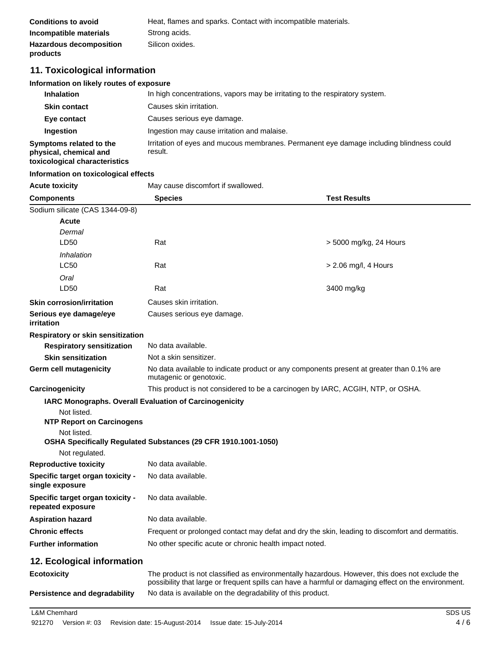| <b>Conditions to avoid</b>     | Heat, flames and sparks. Contact with incompatible materials. |
|--------------------------------|---------------------------------------------------------------|
| Incompatible materials         | Strong acids.                                                 |
| <b>Hazardous decomposition</b> | Silicon oxides.                                               |
| products                       |                                                               |

# **11. Toxicological information**

### **Information on likely routes of exposure**

| <b>Inhalation</b>                                                                  | In high concentrations, vapors may be irritating to the respiratory system.                        |
|------------------------------------------------------------------------------------|----------------------------------------------------------------------------------------------------|
| <b>Skin contact</b>                                                                | Causes skin irritation.                                                                            |
| Eye contact                                                                        | Causes serious eye damage.                                                                         |
| Ingestion                                                                          | Ingestion may cause irritation and malaise.                                                        |
| Symptoms related to the<br>physical, chemical and<br>toxicological characteristics | Irritation of eyes and mucous membranes. Permanent eye damage including blindness could<br>result. |

#### **Information on toxicological effects**

| <b>Acute toxicity</b>                                 | May cause discomfort if swallowed.                                                                                                                                                                    |                        |  |
|-------------------------------------------------------|-------------------------------------------------------------------------------------------------------------------------------------------------------------------------------------------------------|------------------------|--|
| <b>Components</b>                                     | <b>Species</b>                                                                                                                                                                                        | <b>Test Results</b>    |  |
| Sodium silicate (CAS 1344-09-8)                       |                                                                                                                                                                                                       |                        |  |
| <b>Acute</b>                                          |                                                                                                                                                                                                       |                        |  |
| Dermal                                                |                                                                                                                                                                                                       |                        |  |
| LD50                                                  | Rat                                                                                                                                                                                                   | > 5000 mg/kg, 24 Hours |  |
| Inhalation                                            |                                                                                                                                                                                                       |                        |  |
| LC50                                                  | Rat                                                                                                                                                                                                   | > 2.06 mg/l, 4 Hours   |  |
| Oral                                                  |                                                                                                                                                                                                       |                        |  |
| LD50                                                  | Rat                                                                                                                                                                                                   | 3400 mg/kg             |  |
| <b>Skin corrosion/irritation</b>                      | Causes skin irritation.                                                                                                                                                                               |                        |  |
| Serious eye damage/eye<br>irritation                  | Causes serious eye damage.                                                                                                                                                                            |                        |  |
| Respiratory or skin sensitization                     |                                                                                                                                                                                                       |                        |  |
| <b>Respiratory sensitization</b>                      | No data available.                                                                                                                                                                                    |                        |  |
| <b>Skin sensitization</b>                             | Not a skin sensitizer.                                                                                                                                                                                |                        |  |
| Germ cell mutagenicity                                | No data available to indicate product or any components present at greater than 0.1% are<br>mutagenic or genotoxic.                                                                                   |                        |  |
| Carcinogenicity                                       | This product is not considered to be a carcinogen by IARC, ACGIH, NTP, or OSHA.                                                                                                                       |                        |  |
|                                                       | <b>IARC Monographs. Overall Evaluation of Carcinogenicity</b>                                                                                                                                         |                        |  |
| Not listed.                                           |                                                                                                                                                                                                       |                        |  |
| <b>NTP Report on Carcinogens</b>                      |                                                                                                                                                                                                       |                        |  |
| Not listed.                                           |                                                                                                                                                                                                       |                        |  |
|                                                       | OSHA Specifically Regulated Substances (29 CFR 1910.1001-1050)                                                                                                                                        |                        |  |
| Not regulated.                                        |                                                                                                                                                                                                       |                        |  |
| <b>Reproductive toxicity</b>                          | No data available.                                                                                                                                                                                    |                        |  |
| Specific target organ toxicity -<br>single exposure   | No data available.                                                                                                                                                                                    |                        |  |
| Specific target organ toxicity -<br>repeated exposure | No data available.                                                                                                                                                                                    |                        |  |
| <b>Aspiration hazard</b>                              | No data available.                                                                                                                                                                                    |                        |  |
| <b>Chronic effects</b>                                | Frequent or prolonged contact may defat and dry the skin, leading to discomfort and dermatitis.                                                                                                       |                        |  |
| <b>Further information</b>                            | No other specific acute or chronic health impact noted.                                                                                                                                               |                        |  |
| 12. Ecological information                            |                                                                                                                                                                                                       |                        |  |
| <b>Ecotoxicity</b>                                    | The product is not classified as environmentally hazardous. However, this does not exclude the<br>possibility that large or frequent spills can have a harmful or damaging effect on the environment. |                        |  |
| <b>Persistence and degradability</b>                  | No data is available on the degradability of this product.                                                                                                                                            |                        |  |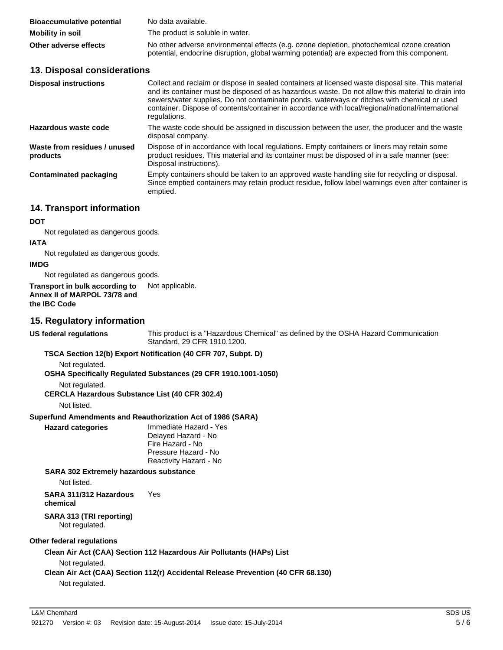| <b>Bioaccumulative potential</b> | No data available.                                                                                                                                                                         |
|----------------------------------|--------------------------------------------------------------------------------------------------------------------------------------------------------------------------------------------|
| <b>Mobility in soil</b>          | The product is soluble in water.                                                                                                                                                           |
| Other adverse effects            | No other adverse environmental effects (e.g. ozone depletion, photochemical ozone creation<br>potential, endocrine disruption, global warming potential) are expected from this component. |

### **13. Disposal considerations**

| <b>Disposal instructions</b>             | Collect and reclaim or dispose in sealed containers at licensed waste disposal site. This material<br>and its container must be disposed of as hazardous waste. Do not allow this material to drain into<br>sewers/water supplies. Do not contaminate ponds, waterways or ditches with chemical or used<br>container. Dispose of contents/container in accordance with local/regional/national/international<br>regulations. |
|------------------------------------------|------------------------------------------------------------------------------------------------------------------------------------------------------------------------------------------------------------------------------------------------------------------------------------------------------------------------------------------------------------------------------------------------------------------------------|
| Hazardous waste code                     | The waste code should be assigned in discussion between the user, the producer and the waste<br>disposal company.                                                                                                                                                                                                                                                                                                            |
| Waste from residues / unused<br>products | Dispose of in accordance with local regulations. Empty containers or liners may retain some<br>product residues. This material and its container must be disposed of in a safe manner (see:<br>Disposal instructions).                                                                                                                                                                                                       |
| <b>Contaminated packaging</b>            | Empty containers should be taken to an approved waste handling site for recycling or disposal.<br>Since emptied containers may retain product residue, follow label warnings even after container is<br>emptied.                                                                                                                                                                                                             |

### **14. Transport information**

**DOT**

Not regulated as dangerous goods.

#### **IATA**

Not regulated as dangerous goods.

# **IMDG**

Not regulated as dangerous goods.

#### **Transport in bulk according to** Not applicable. **Annex II of MARPOL 73/78 and the IBC Code**

### **15. Regulatory information**

**US federal regulations**

This product is a "Hazardous Chemical" as defined by the OSHA Hazard Communication Standard, 29 CFR 1910.1200.

#### **TSCA Section 12(b) Export Notification (40 CFR 707, Subpt. D)**

Not regulated.

- **OSHA Specifically Regulated Substances (29 CFR 1910.1001-1050)**
	- Not regulated.

**CERCLA Hazardous Substance List (40 CFR 302.4)**

Not listed.

**Hazard categories**

# **Superfund Amendments and Reauthorization Act of 1986 (SARA)**

Immediate Hazard - Yes Delayed Hazard - No Fire Hazard - No Pressure Hazard - No Reactivity Hazard - No

### **SARA 302 Extremely hazardous substance**

Not listed.

**SARA 311/312 Hazardous** Yes **chemical**

#### **SARA 313 (TRI reporting)** Not regulated.

# **Other federal regulations**

**Clean Air Act (CAA) Section 112 Hazardous Air Pollutants (HAPs) List**

Not regulated.

# **Clean Air Act (CAA) Section 112(r) Accidental Release Prevention (40 CFR 68.130)**

Not regulated.